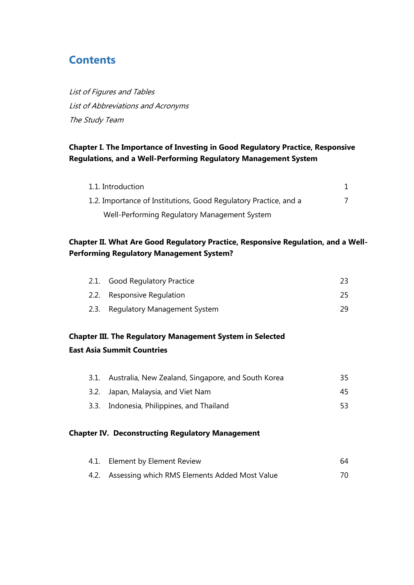# **Contents**

List of Figures and Tables List of Abbreviations and Acronyms The Study Team

### **Chapter I. The Importance of Investing in Good Regulatory Practice, Responsive Regulations, and a Well-Performing Regulatory Management System**

| 1.1. Introduction                                                |  |
|------------------------------------------------------------------|--|
| 1.2. Importance of Institutions, Good Regulatory Practice, and a |  |
| Well-Performing Regulatory Management System                     |  |

#### **Chapter II. What Are Good Regulatory Practice, Responsive Regulation, and a Well-Performing Regulatory Management System?**

| 2.1. Good Regulatory Practice     |     |
|-----------------------------------|-----|
| 2.2. Responsive Regulation        | 25. |
| 2.3. Regulatory Management System | 29  |

## **Chapter III. The Regulatory Management System in Selected East Asia Summit Countries**

| 3.1. Australia, New Zealand, Singapore, and South Korea | 35  |
|---------------------------------------------------------|-----|
| 3.2. Japan, Malaysia, and Viet Nam                      | 45. |
| 3.3. Indonesia, Philippines, and Thailand               | 53  |

#### **Chapter IV. Deconstructing Regulatory Management**

| 4.1. Element by Element Review                     | 64 |
|----------------------------------------------------|----|
| 4.2. Assessing which RMS Elements Added Most Value |    |